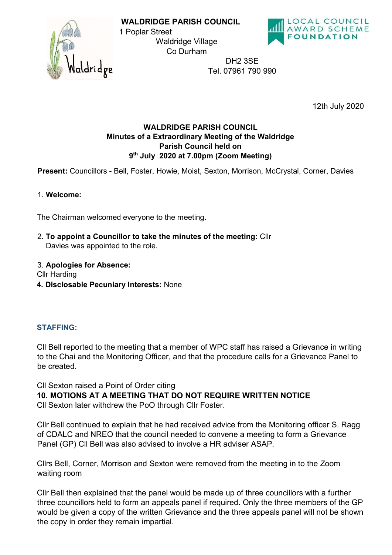



DH2 3SE Tel. 07961 790 990

12th July 2020

## WALDRIDGE PARISH COUNCIL Minutes of a Extraordinary Meeting of the Waldridge Parish Council held on 9 th July 2020 at 7.00pm (Zoom Meeting)

WALDRIDGE PARISH COUNCIL

Waldridge Village Co Durham

1 Poplar Street

Present: Councillors - Bell, Foster, Howie, Moist, Sexton, Morrison, McCrystal, Corner, Davies

## 1. Welcome:

The Chairman welcomed everyone to the meeting.

2. To appoint a Councillor to take the minutes of the meeting: Cllr Davies was appointed to the role.

## 3. Apologies for Absence:

Cllr Harding

4. Disclosable Pecuniary Interests: None

## STAFFING:

Cll Bell reported to the meeting that a member of WPC staff has raised a Grievance in writing to the Chai and the Monitoring Officer, and that the procedure calls for a Grievance Panel to be created.

Cll Sexton raised a Point of Order citing

10. MOTIONS AT A MEETING THAT DO NOT REQUIRE WRITTEN NOTICE

Cll Sexton later withdrew the PoO through Cllr Foster.

Cllr Bell continued to explain that he had received advice from the Monitoring officer S. Ragg of CDALC and NREO that the council needed to convene a meeting to form a Grievance Panel (GP) Cll Bell was also advised to involve a HR adviser ASAP.

Cllrs Bell, Corner, Morrison and Sexton were removed from the meeting in to the Zoom waiting room

Cllr Bell then explained that the panel would be made up of three councillors with a further three councillors held to form an appeals panel if required. Only the three members of the GP would be given a copy of the written Grievance and the three appeals panel will not be shown the copy in order they remain impartial.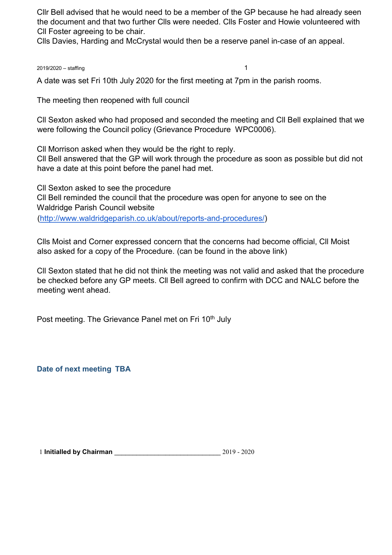Cllr Bell advised that he would need to be a member of the GP because he had already seen the document and that two further Clls were needed. Clls Foster and Howie volunteered with Cll Foster agreeing to be chair.

Clls Davies, Harding and McCrystal would then be a reserve panel in-case of an appeal.

2019/2020 – staffing 1

A date was set Fri 10th July 2020 for the first meeting at 7pm in the parish rooms.

The meeting then reopened with full council

Cll Sexton asked who had proposed and seconded the meeting and Cll Bell explained that we were following the Council policy (Grievance Procedure WPC0006).

Cll Morrison asked when they would be the right to reply.

Cll Bell answered that the GP will work through the procedure as soon as possible but did not have a date at this point before the panel had met.

Cll Sexton asked to see the procedure Cll Bell reminded the council that the procedure was open for anyone to see on the Waldridge Parish Council website (http://www.waldridgeparish.co.uk/about/reports-and-procedures/)

Clls Moist and Corner expressed concern that the concerns had become official, Cll Moist also asked for a copy of the Procedure. (can be found in the above link)

Cll Sexton stated that he did not think the meeting was not valid and asked that the procedure be checked before any GP meets. Cll Bell agreed to confirm with DCC and NALC before the meeting went ahead.

Post meeting. The Grievance Panel met on Fri 10<sup>th</sup> July

Date of next meeting TBA